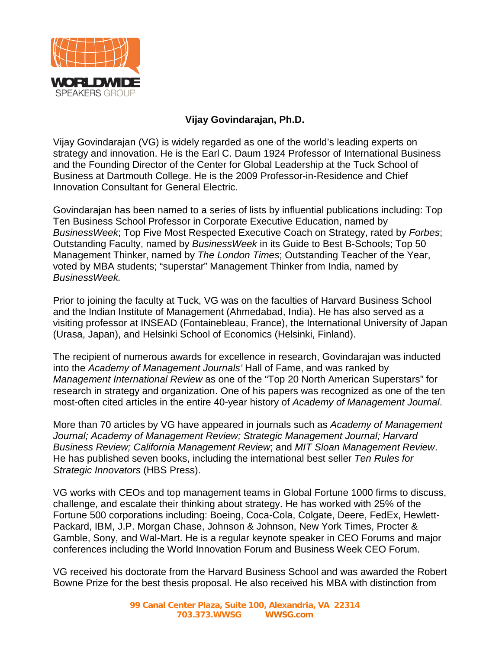

## **Vijay Govindarajan, Ph.D.**

Vijay Govindarajan (VG) is widely regarded as one of the world's leading experts on strategy and innovation. He is the Earl C. Daum 1924 Professor of International Business and the Founding Director of the Center for Global Leadership at the Tuck School of Business at Dartmouth College. He is the 2009 Professor-in-Residence and Chief Innovation Consultant for General Electric.

Govindarajan has been named to a series of lists by influential publications including: Top Ten Business School Professor in Corporate Executive Education, named by *BusinessWeek*; Top Five Most Respected Executive Coach on Strategy, rated by *Forbes*; Outstanding Faculty, named by *BusinessWeek* in its Guide to Best B-Schools; Top 50 Management Thinker, named by *The London Times*; Outstanding Teacher of the Year, voted by MBA students; "superstar" Management Thinker from India, named by *BusinessWeek.* 

Prior to joining the faculty at Tuck, VG was on the faculties of Harvard Business School and the Indian Institute of Management (Ahmedabad, India). He has also served as a visiting professor at INSEAD (Fontainebleau, France), the International University of Japan (Urasa, Japan), and Helsinki School of Economics (Helsinki, Finland).

The recipient of numerous awards for excellence in research, Govindarajan was inducted into the *Academy of Management Journals'* Hall of Fame, and was ranked by *Management International Review* as one of the "Top 20 North American Superstars" for research in strategy and organization. One of his papers was recognized as one of the ten most-often cited articles in the entire 40-year history of *Academy of Management Journal*.

More than 70 articles by VG have appeared in journals such as *Academy of Management Journal; Academy of Management Review; Strategic Management Journal; Harvard Business Review; California Management Review*; and *MIT Sloan Management Review*. He has published seven books, including the international best seller *Ten Rules for Strategic Innovators* (HBS Press).

VG works with CEOs and top management teams in Global Fortune 1000 firms to discuss, challenge, and escalate their thinking about strategy. He has worked with 25% of the Fortune 500 corporations including: Boeing, Coca-Cola, Colgate, Deere, FedEx, Hewlett-Packard, IBM, J.P. Morgan Chase, Johnson & Johnson, New York Times, Procter & Gamble, Sony, and Wal-Mart. He is a regular keynote speaker in CEO Forums and major conferences including the World Innovation Forum and Business Week CEO Forum.

VG received his doctorate from the Harvard Business School and was awarded the Robert Bowne Prize for the best thesis proposal. He also received his MBA with distinction from